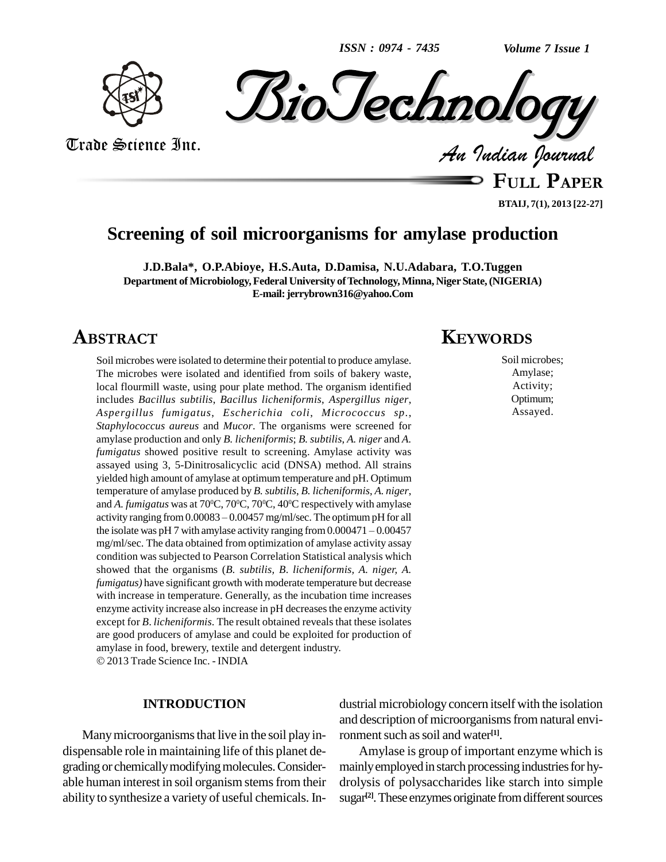*ISSN : 0974 - 7435*

*Volume 7 Issue 1*





Trade Science Inc. Trade Science Inc.

**FULL <sup>P</sup>APER BTAIJ, 7(1), 2013 [22-27]**

# **Screening of soil microorganisms for amylase production**

**J.D.Bala\*, O.P.Abioye, H.S.Auta, D.Damisa, N.U.Adabara, T.O.Tuggen Department of Microbiology,Federal University ofTechnology, Minna, NigerState,(NIGERIA) E-mail:[jerrybrown316@yahoo.Com](mailto:jerrybrown316@yahoo.Com)**

# **ABSTRACT**

Soil microbes were isolated to determine their potential to produce amylase. The microbes were isolated and identified from soils of bakery waste, local flourmill waste, using pour plate method. The organism identified includes *Bacillus subtilis*, *Bacillus licheniformis*, *Aspergillus niger*, *Aspergillus fumigatus*, *Escherichia coli*, *Micrococcus sp*., *Staphylococcus aureus* and *Mucor*. The organisms were screened for amylase production and only *B. licheniformis*; *B. subtilis*, *A. niger* and *A. fumigatus* showed positive result to screening. Amylase activity was assayed using 3, 5-Dinitrosalicyclic acid (DNSA) method. All strains yielded high amount of amylase at optimum temperature and pH. Optimum temperature of amylase produced by *B. subtilis*, *B. licheniformis*, *A. niger*, and *A. fumigatus* was at 70°C, 70°C, 70°C, 40°C respectively with amylase temperature of amylase produced by *B. subtilis, B. licheniformis, A. niger,*<br>and *A. fumigatus* was at 70<sup>o</sup>C, 70<sup>o</sup>C, 70<sup>o</sup>C, 40<sup>o</sup>C respectively with amylase<br>activity ranging from 0.00083 – 0.00457 mg/ml/sec. The optimu and A. *fumigatus* was at 70°C, 70°C, 70°C, 40°C respectively with amylase<br>activity ranging from 0.00083 – 0.00457 mg/ml/sec. The optimum pH for all<br>the isolate was pH 7 with amylase activity ranging from 0.000471 – 0.0045 mg/ml/sec. The data obtained from optimization of amylase activity assay condition was subjected to Pearson Correlation Statistical analysis which showed that the organisms (*B. subtilis, B*. *licheniformis, A. niger, A. fumigatus)* have significant growth with moderate temperature but decrease with increase in temperature. Generally, as the incubation time increases enzyme activity increase also increase in pH decreasesthe enzyme activity except for *B*. *licheniformis*. The result obtained reveals that these isolates are good producers of amylase and could be exploited for production of amylase in food, brewery, textile and detergent industry. 2013 Trade Science Inc. - INDIA

## **INTRODUCTION**

Many microorganisms that live in the soil play in-<br>dispensable role in maintaining life of this planet degrading or chemically modifying molecules. Considerable human interest in soil organism stemsfrom their ability to synthesize a variety of useful chemicals. In-

## **KEYWORDS**

Soil microbes; Amylase; Activity; Optimum; Assayed.

dustrial microbiology concern itself with the isolation and description of microorganisms from natural environment such as soil and water<sup>[1]</sup>.

Amylase is group of important enzyme which is mainly employed in starch processing industries for hydrolysis of polysaccharides like starch into simple sugar<sup>[2]</sup>. These enzymes originate from different sources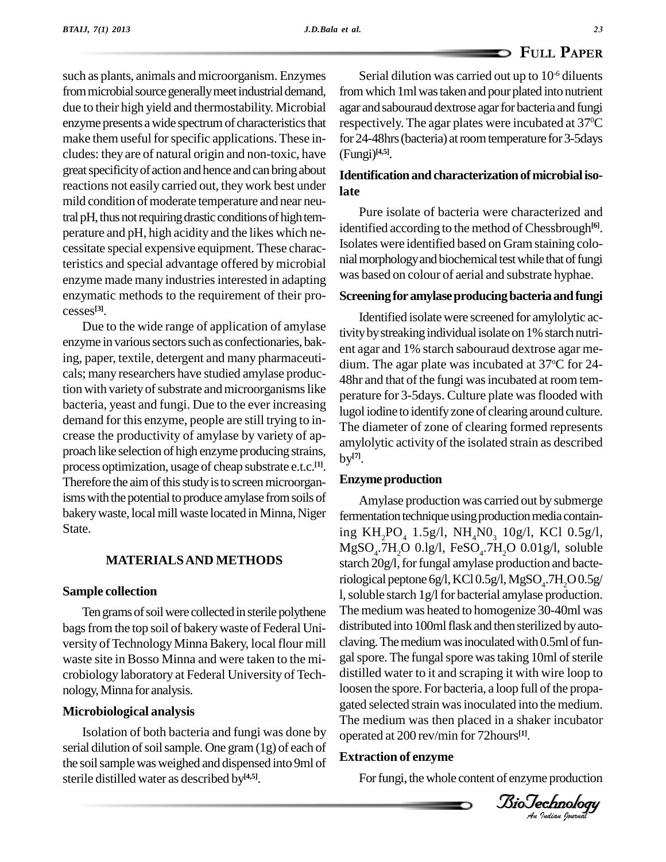such as plants, animals and microorganism. Enzymes from microbial source generally meet industrial demand, due to their high yield and thermostability. Microbial enzyme presents a wide spectrum of characteristics that make them useful for specific applications. These includes: they are of natural origin and non-toxic, have great specificity of action and hence and can bring about reactions not easily carried out, theywork best under mild condition of moderate temperature and near neutral pH, thus not requiring drastic conditions of high temperature and pH, high acidity and the likes which ne cessitate special expensive equipment. These characteristics and special advantage offered by microbial enzyme made many industries interested in adapting enzymatic methods to the requirement of their pro cesses **[3]**.

Due to the wide range of application of amylase enzyme in various sectors such as confectionaries, baking, paper, textile, detergent and many pharmaceuti cals; many researchers have studied amylase production with variety of substrate and microorganisms like bacteria, yeast and fungi. Due to the ever increasing demand for this enzyme, people are still trying to in-crease the productivity of amylase by variety of ap proach like selection of high enzyme producing strains, process optimization, usage of cheap substrate e.t.c. **[1]**. Therefore the aim of this study is to screen microorganisms with the potential to produce amylase from soils of bakery waste, local mill waste located in Minna, Niger State.

## **MATERIALSAND METHODS**

## **Sample collection**

Ten grams of soil were collected in sterile polythene bags from the top soil of bakery waste of Federal University of Technology Minna Bakery, local flour mill waste site in Bosso Minna and were taken to the mi crobiology laboratory at Federal University of Tech nology,Minna for analysis.

## **Microbiological analysis**

Isolation of both bacteria and fungi was done by serial dilution of soil sample. One gram (1g) of each of the soil sample was weighed and dispensed into 9ml of sterile distilled water as described by **[4,5]**.

Serial dilution was carried out up to  $10<sup>-6</sup>$  diluents from which 1ml was taken and pour plated into nutrient agar and sabouraud dextrose agar for bacteria and fungi respectively. The agar plates were incubated at 37 <sup>0</sup>C for 24-48hrs (bacteria) at room temperature for 3-5days (Fungi) **[4,5]**.

## Identification and characterization of microbial iso**late**

Pure isolate of bacteria were characterized and identified according to the method of Chessbrough **[6]**. Isolates were identified based on Gramstaining colo nial morphology and biochemical test while that of fungi was based on colour of aerial and substrate hyphae.

## **Screeningfor amylaseproducingbacteriaandfungi**

Identified isolate were screened foramylolytic activity by streaking individual isolate on 1% starch nutrient agar and 1% starch sabouraud dextrose agar me dium. The agar plate was incubated at 37°C for 24-48hr and that of the fungi was incubated at room temperature for 3-5 days. Culture plate was flooded with lugol iodine to identifyzone of clearing around culture. The diameter of zone of clearing formed represents amylolytic activity of the isolated strain as described by **[7]**.

## **Enzyme** production

distilled water to it and scraping it with wire loop to<br>loosen the spore. For bacteria, a loop full of the propa-*An*The medium was then placed in a shaker incubator Amylase production was carried out by submerge fermentation technique using production media containing KH<sub>2</sub>PO<sub>4</sub> 1.5g/l, NH<sub>4</sub>N0<sub>3</sub> 10g/l, KCl 0.5g/l,<br>MgSO<sub>4</sub>.7H<sub>2</sub>O 0.lg/l, FeSO<sub>4</sub>.7H<sub>2</sub>O 0.01g/l, soluble starch 20g/l, for fungal amylase production and bacteriological peptone 6g/l, KCl 0.5g/l, MgSO $_{\rm 4}$ .7H  $_{\rm 2}$ O $0.5$ g/ l, soluble starch 1g/l for bacterial amylase production. The mediumwas heated to homogenize 30-40ml was distributed into 100ml flask and then sterilized by autoclaving. The medium was inoculated with 0.5ml of fungal spore. The fungal spore was taking 10ml of sterile distilled water to it and scraping it with wire loop to gated selected strain wasinoculated into the medium. operated at 200 rev/min for 72hours **[1]**.

## **Extraction of enzyme**

For fungi, the whole content of enzyme production

*Indian Journal*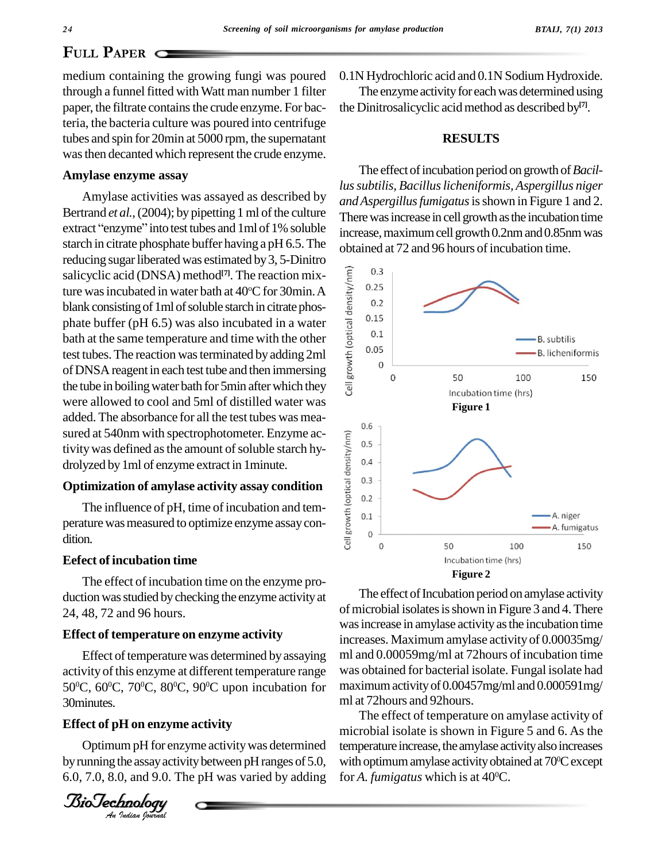## **PAPER**  $\Box$

medium containing the growing fungi was poured through a funnel fitted with Watt man number 1 filter paper, the filtrate contains the crude enzyme. For bacteria, the bacteria culture was poured into centrifuge tubes and spin for 20min at 5000 rpm, the supernatant wasthen decanted which represent the crude enzyme.

## **Amylase enzyme assay**

Amylase activities was assayed as described by Bertrand *et al.*, (2004); by pipetting 1 ml of the culture extract "enzyme" into test tubes and 1ml of 1% soluble starch in citrate phosphate buffer having a pH 6.5.The reducing sugar liberated was estimated by 3, 5-Dinitro<br>salicyclic acid (DNSA) method<sup>[7]</sup>. The reaction mix-<br>ture was incubated in water bath at 40°C for 30min. A<br>blank consisting of 1ml of soluble starch in citrate phossalicyclic acid (DNSA) method **[7]**. The reaction mixture was incubated in water bath at 40°C for 30min. A  $\frac{2}{\pi}$  <sup>0.25</sup> blank consisting of 1ml of soluble starch in citrate phosphate buffer (pH 6.5) was also incubated in a water bath at the same temperature and time with the other test tubes. The reaction was terminated by adding 2ml of DNSA reagent in each test tube and then immersing the tube in boiling water bath for 5min after which they  $\frac{1}{8}$ were allowed to cool and 5ml of distilled water was added. The absorbance for all the test tubes was mea sured at 540nm with spectrophotometer. Enzyme activity was defined as the amount of soluble starch hydrolyzed by 1ml of enzyme extract in 1minute.<br> **Optimization of amylase activity assay condition**<br>
The influence of pH, tivity was defined as the amount of soluble starch hydrolyzed by1ml of enzyme extract in 1minute.

# **Optimization of amylase activity assay condition**  $\frac{1}{\frac{1}{6}}$   $\frac{0.3}{0.2}$

The influence of pH, time of incubation and temperature was measured to optimize enzyme assay condition.

#### **Eefect of incubation time**

The effect of incubation time on the enzyme pro duction was studied by checking the enzyme activity at 24, 48, 72 and 96 hours.

## **Effect of temperature on enzyme activity**

activity of this enzyme at different temperature range was<br>50°C, 60°C, 70°C, 80°C, 90°C upon incubation for may Effect of temperature was determined by assaying activity of this enzyme at different temperature range 30minutes.

## *An***Effect of pH on enzyme activity**

OptimumpH for enzyme activitywas determined by running the assay activity between pH ranges of 5.0, 6.0, 7.0, 8.0, and 9.0. The pH was varied by adding



0.1N Hydrochloric acid and 0.1N Sodium Hydroxide.

The enzyme activity for each was determined using the Dinitrosalicyclic acidmethod as described by **[7]**.

## **RESULTS**

The effect of incubation period on growth of *Bacillussubtilis, Bacilluslicheniformis, Aspergillus niger andAspergillusfumigatus*isshown in Figure 1 and 2. There was increase in cell growth as the incubation time increase, maximum cell growth 0.2nm and 0.85nm was obtained at 72 and 96 hours of incubation time.



The effect of Incubation period on amylase activity of microbial isolates is shown in Figure 3 and 4. There was increase in amylase activity as the incubation time increases. Maximum amylase activity of 0.00035mg/ ml and 0.00059mg/ml at 72hours of incubation time was obtained for bacterial isolate. Fungal isolate had maximumactivityof 0.00457mg/ml and 0.000591mg/ ml at 72hours and 92hours.

The effect of temperature on amylase activity of microbial isolate is shown in Figure 5 and 6. As the temperature increase, the amylase activity also increases with optimumamylase activityobtained at 70 <sup>0</sup>Cexcept for *A. fumigatus* which isat 40 0C.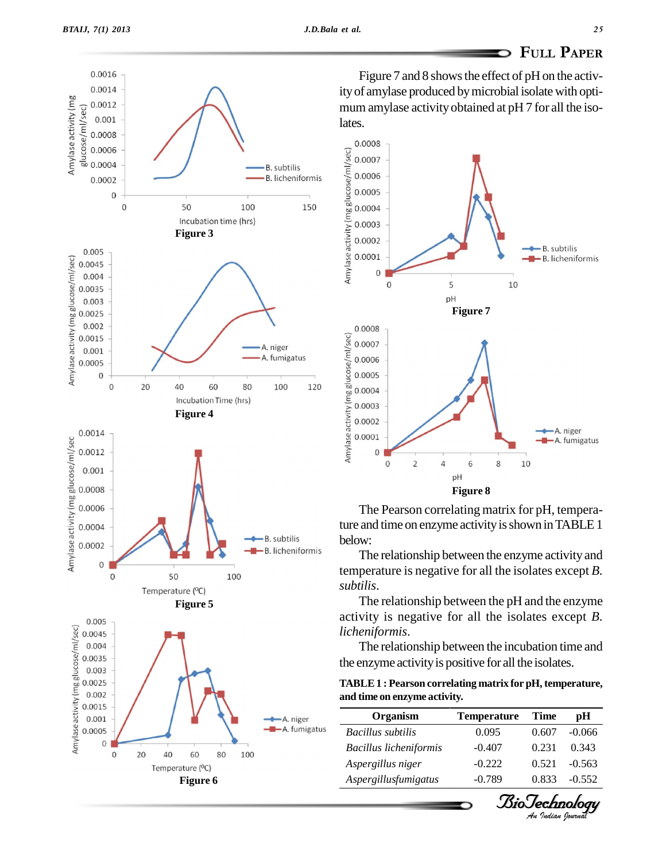0.0016 0.0014

lates.







The Pearson correlating matrix for pH, temperature and time on enzyme activity is shown in TABLE 1 below:

The relationship between the enzyme activity and temperature is negative for all the isolates except *B. subtilis*.

The relationship between the pH and the enzyme activity is negative for all the isolates except *B. licheniformis*.

The relationship between the incubation time and the enzyme activityis positive for all the isolates.

| TABLE 1 : Pearson correlating matrix for pH, temperature, |  |
|-----------------------------------------------------------|--|
| and time on enzyme activity.                              |  |

| Organism                      | <b>Temperature</b> | Time  | pH       |
|-------------------------------|--------------------|-------|----------|
| Bacillus subtilis             | 0.095              | 0.607 | $-0.066$ |
| <b>Bacillus licheniformis</b> | $-0.407$           | 0.231 | 0.343    |
| Aspergillus niger             | $-0.222$           | 0.521 | $-0.563$ |
| Aspergillusfumigatus          | $-0.789$           | 0.833 | $-0.552$ |

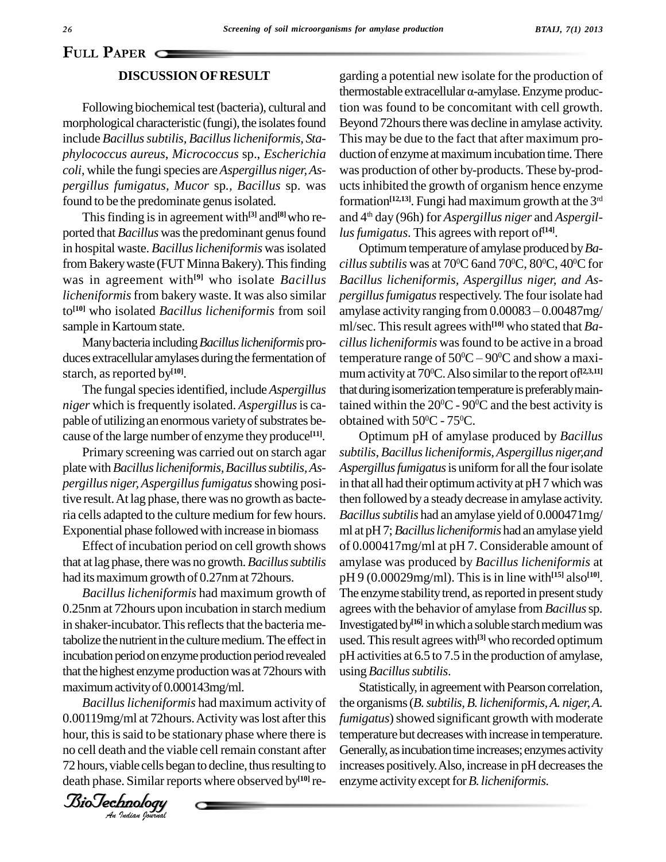## **DISCUSSION OFRESULT**

Following biochemical test(bacteria), cultural and morphological characteristic (fungi), the isolates found include *Bacillussubtilis, Bacilluslicheniformis*, *Sta phylococcus aureus*, *Micrococcus* sp., *Escherichia coli*, while the fungispecies are *Aspergillus niger,As pergillus fumigatus, Mucor* sp*., Bacillus* sp. was found to be the predominate genus isolated.

This finding is in agreement with<sup>[3]</sup> and<sup>[8]</sup> who reported that *Bacillus* was the predominant genus found in hospital waste. *Bacillus licheniformis* was isolated from Bakery waste (FUT Minna Bakery). This finding was in agreement with **[9]** who isolate *Bacillus licheniformis*from bakery waste. It was also similar to **[10]** who isolated *Bacillus licheniformis* from soil sample in Kartoum state.

Manybacteria including*Bacilluslicheniformis*pro duces extracellular amylases during the fermentation of starch, as reported by<sup>[10]</sup>.

The fungal species identified, include *Aspergillus niger* which isfrequently isolated. *Aspergillus*is ca pable of utilizing an enormous variety of substrates because of the large number of enzyme they produce<sup>[11]</sup>.

Primary screening was carried out on starch agar plate with *Bacillus licheniformis, Bacillus subtilis, Aspergillus niger,Aspergillusfumigatus*showing positive result.At lag phase, there was no growth as bacteria cells adapted to the culture medium for few hours. Exponential phase followedwith increase in biomass

Effect of incubation period on cell growth shows that at lag phase, there was no growth. *Bacillus subtilis* had its maximum growth of 0.27nm at 72hours.

that the highest enzyme production was at 7<br>maximum activity of 0.000143mg/ml. *Bacillus licheniformis* had maximum growth of 0.25nm at 72hours upon incubation in starch medium in shaker-incubator. This reflects that the bacteria metabolize the nutrient in the culture medium. The effect in incubation period on enzyme production period revealed that the highest enzyme production was at 72 hours with

0.00119mg/ml at 72hours. Activity was lost after this fumi *Bacilluslicheniformis* had maximum activity of hour, this is said to be stationary phase where there is no cell death and the viable cell remain constant after 72 hours, viable cells began to decline, thus resulting to death phase. Similar reports where observed by<sup>[10]</sup> re-

*Indian Journal*

garding a potential new isolate for the production of garding a potential new isolate for the production of<br>thermostable extracellular  $\alpha$ -amylase. Enzyme production was found to be concomitant with cell growth. Beyond 72 hours there was decline in amylase activity. This may be due to the fact that after maximum pro duction of enzyme at maximum incubation time. There was production of other by-products. These by-prod uctsinhibited the growth of organism hence enzyme formation **[12,13]**. Fungi had maximum growth at the 3 rd and 4 th day (96h) for *Aspergillus niger* and *Aspergillusfumigatus*. This agrees with report of **[14]**.

Optimumtemperature of amylase produced by*Ba cillus subtilis* was at 70ºC 6and 70ºC, 80ºC, 40ºC for *Bacillus licheniformis, Aspergillus niger, and As pergillusfumigatus*respectively.The four isolate had *Bacillus licheniformis, Aspergillus niger, and Aspergillus fumigatus* respectively. The four isolate had<br>amylase activity ranging from 0.00083 – 0.00487mg/ ml/sec. This result agrees with<sup>[10]</sup> who stated that *Ba-*<br>*cillus licheniformis* was found to be active in a broad<br>temperature range of 50°C – 90°C and show a maxi*cilluslicheniformis* wasfound to be active in a broad temperature range of  $50^{\circ}\text{C} - 90^{\circ}\text{C}$  and show a maximumactivityat 70 <sup>0</sup>C.Also similarto the report of **[2,3,11]** that during isomerization temperature is preferably maintained within the  $20^{\circ}$ C -  $90^{\circ}$ C and the best activity is obtained with  $50^{\circ}$ C -  $75^{\circ}$ C.

Optimum pH of amylase produced by *Bacillus subtilis*, *Bacilluslicheniformis,Aspergillus niger,and* Aspergillus fumigatus is uniform for all the four isolate in that all had their optimum activity at pH7 which was then followed by a steady decrease in amylase activity. *Bacillussubtilis* had an amylase yield of 0.000471mg/ ml at pH7;*Bacilluslicheniformis* had an amylase yield of 0.000417mg/ml at pH 7. Considerable amount of amylase was produced by *Bacillus licheniformis* at pH 9 (0.00029mg/ml). Thisisin line with **[15]** also **[10]**. The enzyme stability trend, as reported in present study agrees with the behavior of amylase from *Bacillus*sp*.* Investigated by<sup>[16]</sup> in which a soluble starch medium was used. This result agrees with<sup>[3]</sup> who recorded optimum pH activities at 6.5 to 7.5 in the production of amylase, using *Bacillus subtilis*.

Statistically, in agreement with Pearson correlation, the organisms(*B.subtilis,B. licheniformis,A. niger,A. fumigatus*) showed significant growth with moderate temperature but decreaseswith increase in temperature. Generally, as incubation time increases; enzymes activity increases positively. Also, increase in pH decreases the enzyme activity except for *B*. licheniformis.